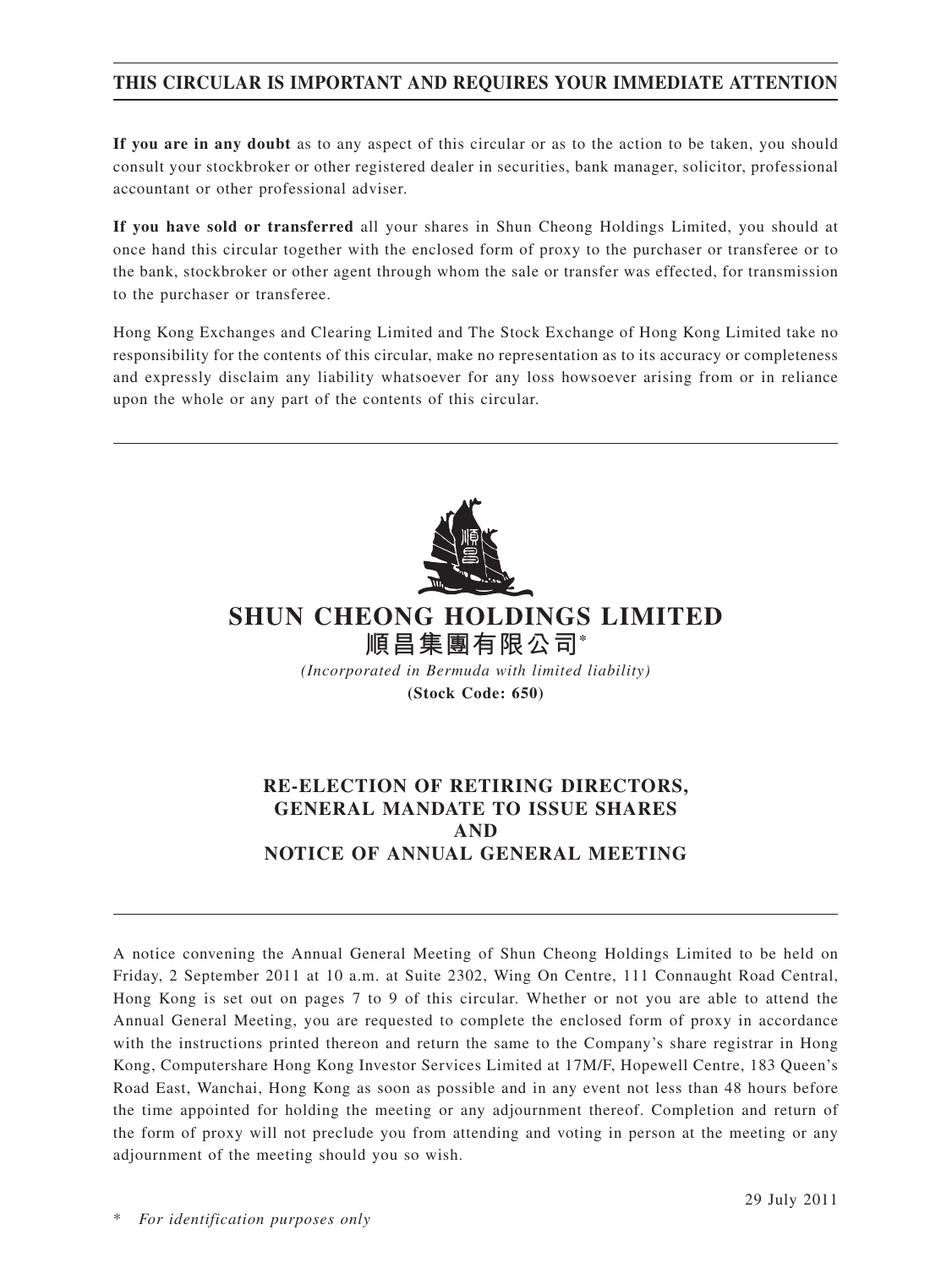## **THIS CIRCULAR IS IMPORTANT AND REQUIRES YOUR IMMEDIATE ATTENTION**

**If you are in any doubt** as to any aspect of this circular or as to the action to be taken, you should consult your stockbroker or other registered dealer in securities, bank manager, solicitor, professional accountant or other professional adviser.

**If you have sold or transferred** all your shares in Shun Cheong Holdings Limited, you should at once hand this circular together with the enclosed form of proxy to the purchaser or transferee or to the bank, stockbroker or other agent through whom the sale or transfer was effected, for transmission to the purchaser or transferee.

Hong Kong Exchanges and Clearing Limited and The Stock Exchange of Hong Kong Limited take no responsibility for the contents of this circular, make no representation as to its accuracy or completeness and expressly disclaim any liability whatsoever for any loss howsoever arising from or in reliance upon the whole or any part of the contents of this circular.



# **SHUN CHEONG HOLDINGS LIMITED 順昌集團有限公司\***

*(Incorporated in Bermuda with limited liability)* **(Stock Code: 650)**

## **RE-ELECTION OF RETIRING DIRECTORS, GENERAL MANDATE TO ISSUE SHARES AND NOTICE OF ANNUAL GENERAL MEETING**

A notice convening the Annual General Meeting of Shun Cheong Holdings Limited to be held on Friday, 2 September 2011 at 10 a.m. at Suite 2302, Wing On Centre, 111 Connaught Road Central, Hong Kong is set out on pages 7 to 9 of this circular. Whether or not you are able to attend the Annual General Meeting, you are requested to complete the enclosed form of proxy in accordance with the instructions printed thereon and return the same to the Company's share registrar in Hong Kong, Computershare Hong Kong Investor Services Limited at 17M/F, Hopewell Centre, 183 Queen's Road East, Wanchai, Hong Kong as soon as possible and in any event not less than 48 hours before the time appointed for holding the meeting or any adjournment thereof. Completion and return of the form of proxy will not preclude you from attending and voting in person at the meeting or any adjournment of the meeting should you so wish.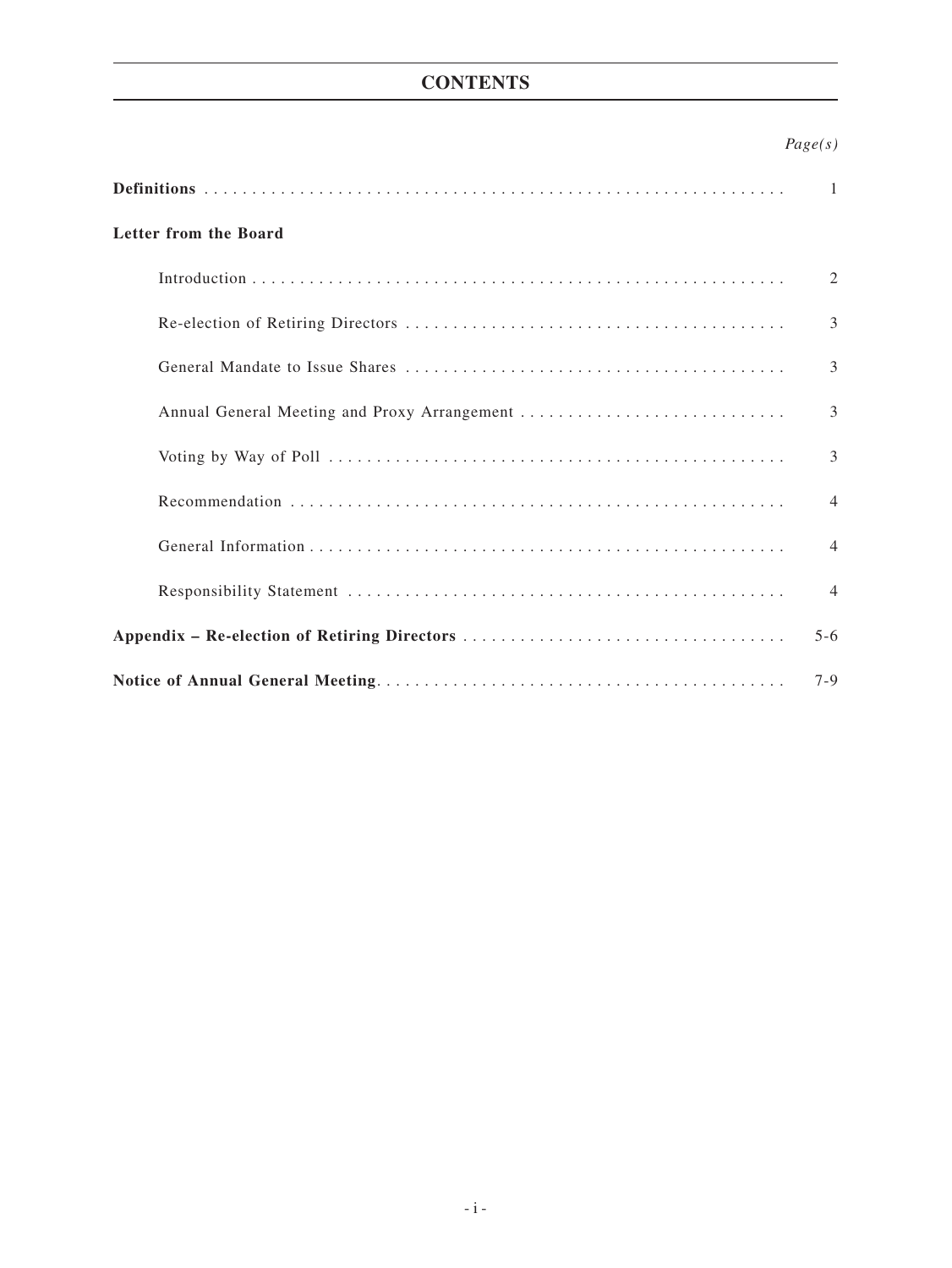## **CONTENTS**

## *Page(s)*

|                                              | -1             |
|----------------------------------------------|----------------|
| Letter from the Board                        |                |
|                                              | 2              |
|                                              | $\mathcal{E}$  |
|                                              | 3              |
| Annual General Meeting and Proxy Arrangement | 3              |
|                                              | 3              |
|                                              | $\overline{4}$ |
|                                              | $\overline{4}$ |
|                                              | $\overline{4}$ |
|                                              | $5 - 6$        |
|                                              | $7-9$          |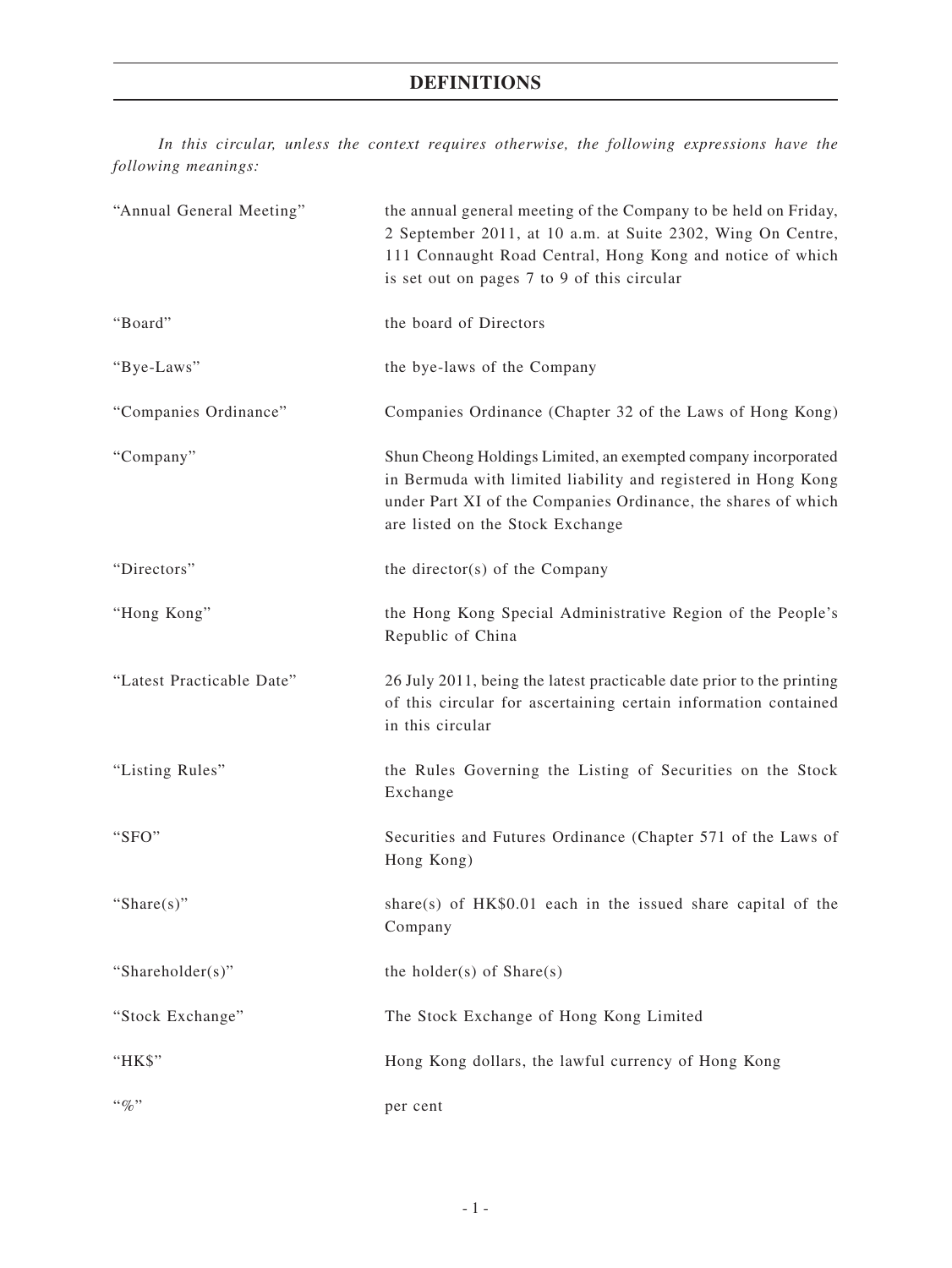## **Definitions**

*In this circular, unless the context requires otherwise, the following expressions have the following meanings:*

| "Annual General Meeting"  | the annual general meeting of the Company to be held on Friday,<br>2 September 2011, at 10 a.m. at Suite 2302, Wing On Centre,<br>111 Connaught Road Central, Hong Kong and notice of which<br>is set out on pages 7 to 9 of this circular |
|---------------------------|--------------------------------------------------------------------------------------------------------------------------------------------------------------------------------------------------------------------------------------------|
| "Board"                   | the board of Directors                                                                                                                                                                                                                     |
| "Bye-Laws"                | the bye-laws of the Company                                                                                                                                                                                                                |
| "Companies Ordinance"     | Companies Ordinance (Chapter 32 of the Laws of Hong Kong)                                                                                                                                                                                  |
| "Company"                 | Shun Cheong Holdings Limited, an exempted company incorporated<br>in Bermuda with limited liability and registered in Hong Kong<br>under Part XI of the Companies Ordinance, the shares of which<br>are listed on the Stock Exchange       |
| "Directors"               | the director(s) of the Company                                                                                                                                                                                                             |
| "Hong Kong"               | the Hong Kong Special Administrative Region of the People's<br>Republic of China                                                                                                                                                           |
| "Latest Practicable Date" | 26 July 2011, being the latest practicable date prior to the printing<br>of this circular for ascertaining certain information contained<br>in this circular                                                                               |
| "Listing Rules"           | the Rules Governing the Listing of Securities on the Stock<br>Exchange                                                                                                                                                                     |
| "SFO"                     | Securities and Futures Ordinance (Chapter 571 of the Laws of<br>Hong Kong)                                                                                                                                                                 |
| "Share $(s)$ "            | share(s) of $HK$0.01$ each in the issued share capital of the<br>Company                                                                                                                                                                   |
| "Shareholder(s)"          | the holder(s) of $Share(s)$                                                                                                                                                                                                                |
| "Stock Exchange"          | The Stock Exchange of Hong Kong Limited                                                                                                                                                                                                    |
| "HK\$"                    | Hong Kong dollars, the lawful currency of Hong Kong                                                                                                                                                                                        |
| $``\%"$                   | per cent                                                                                                                                                                                                                                   |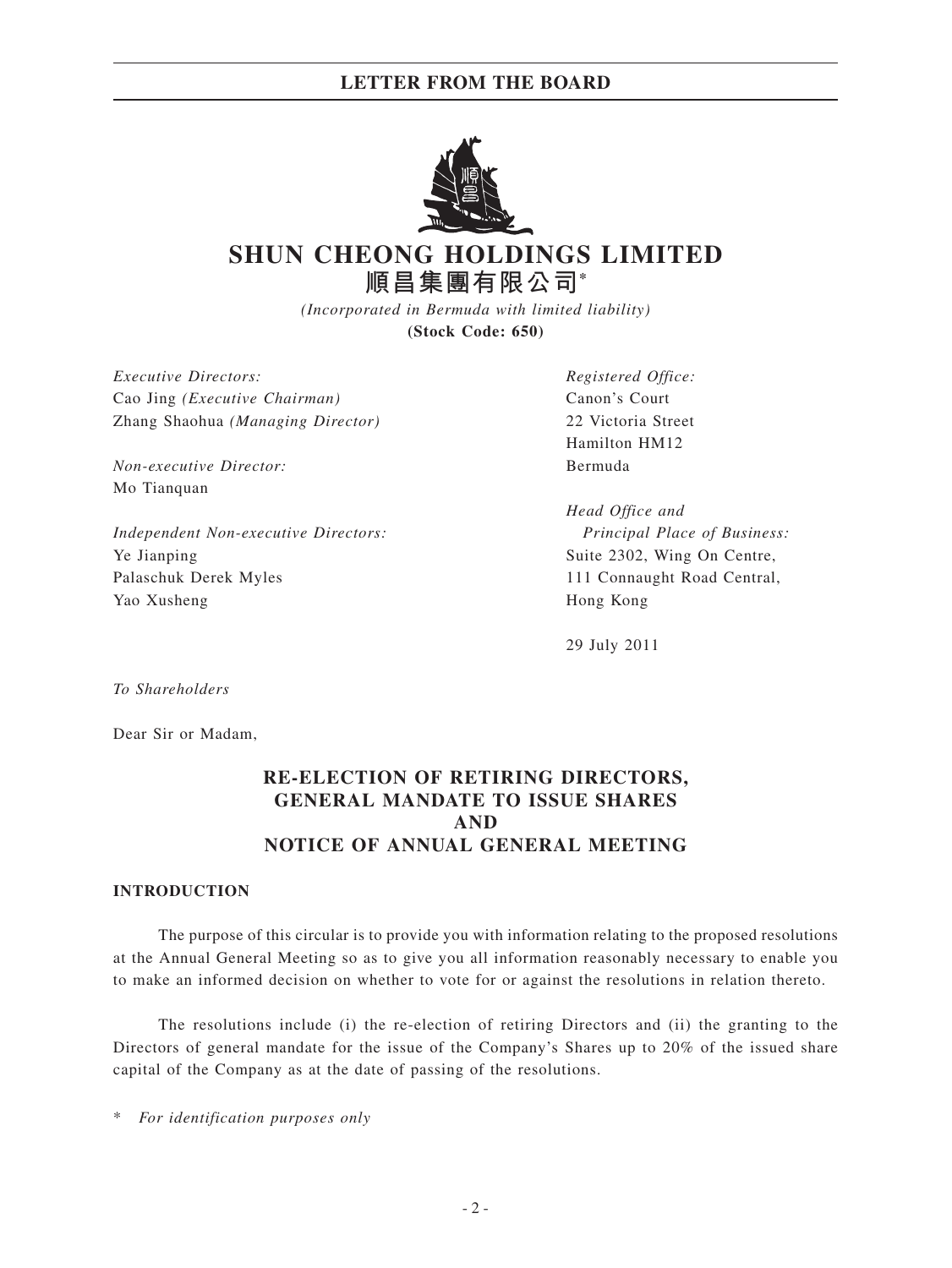## **LETTER FROM THE BOARD**



# **SHUN CHEONG HOLDINGS LIMITED 順昌集團有限公司\***

*(Incorporated in Bermuda with limited liability)* **(Stock Code: 650)**

*Executive Directors: Registered Office:* Cao Jing *(Executive Chairman)* Canon's Court Zhang Shaohua *(Managing Director)* 22 Victoria Street

*Non-executive Director:* Bermuda Mo Tianquan

*Independent Non-executive Directors: Principal Place of Business:* Ye Jianping Suite 2302, Wing On Centre, Palaschuk Derek Myles 111 Connaught Road Central, Yao Xusheng Hong Kong

Hamilton HM12

*Head Office and*

29 July 2011

*To Shareholders*

Dear Sir or Madam,

## **RE-ELECTION OF RETIRING DIRECTORS, GENERAL MANDATE TO ISSUE SHARES AND NOTICE OF ANNUAL GENERAL MEETING**

#### **INTRODUCTION**

The purpose of this circular is to provide you with information relating to the proposed resolutions at the Annual General Meeting so as to give you all information reasonably necessary to enable you to make an informed decision on whether to vote for or against the resolutions in relation thereto.

The resolutions include (i) the re-election of retiring Directors and (ii) the granting to the Directors of general mandate for the issue of the Company's Shares up to 20% of the issued share capital of the Company as at the date of passing of the resolutions.

 $For$  *identification purposes only*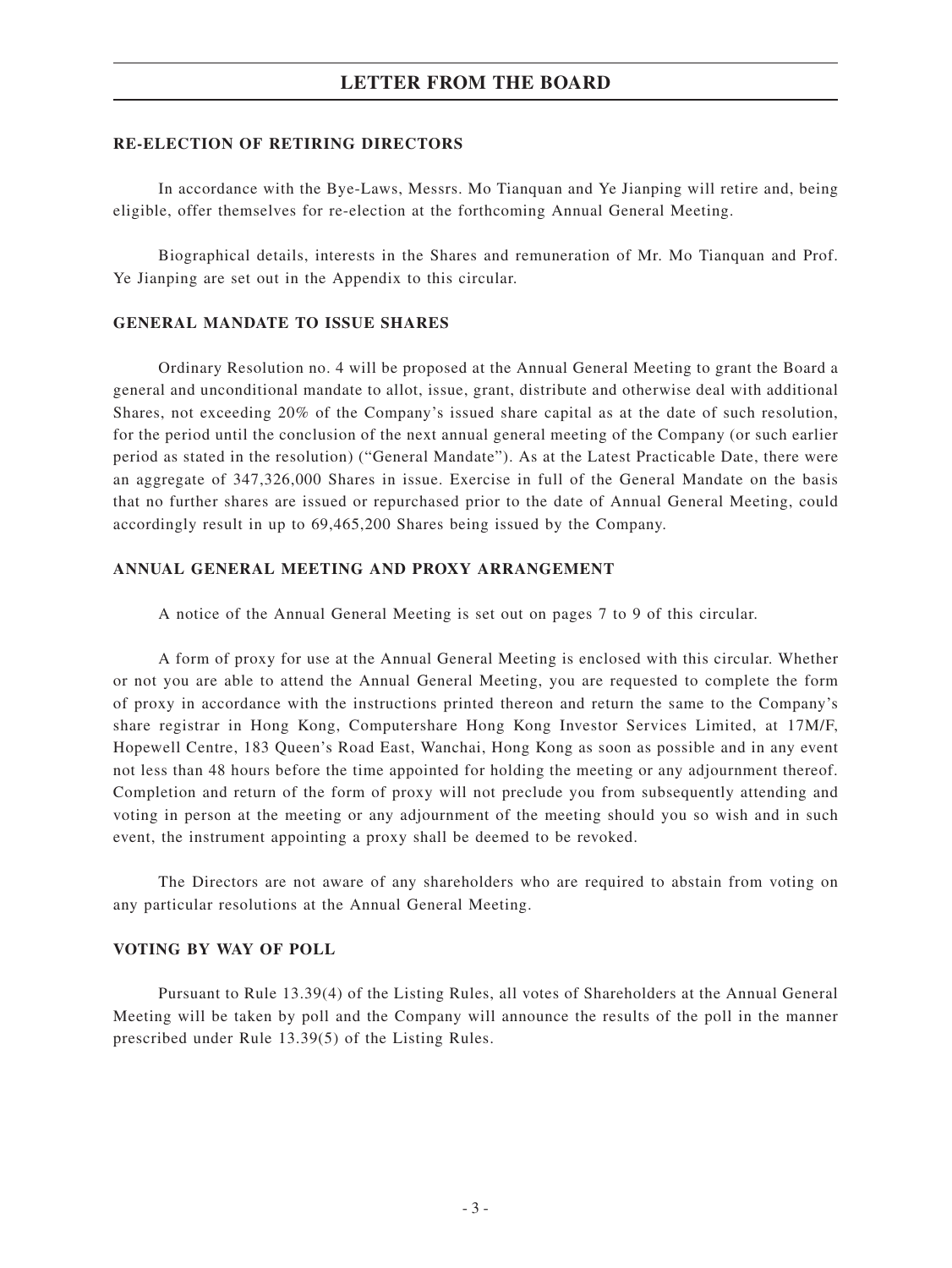## **LETTER FROM THE BOARD**

#### **RE-ELECTION OF RETIRING DIRECTORS**

In accordance with the Bye-Laws, Messrs. Mo Tianquan and Ye Jianping will retire and, being eligible, offer themselves for re-election at the forthcoming Annual General Meeting.

Biographical details, interests in the Shares and remuneration of Mr. Mo Tianquan and Prof. Ye Jianping are set out in the Appendix to this circular.

### **GENERAL MANDATE TO ISSUE SHARES**

Ordinary Resolution no. 4 will be proposed at the Annual General Meeting to grant the Board a general and unconditional mandate to allot, issue, grant, distribute and otherwise deal with additional Shares, not exceeding 20% of the Company's issued share capital as at the date of such resolution, for the period until the conclusion of the next annual general meeting of the Company (or such earlier period as stated in the resolution) ("General Mandate"). As at the Latest Practicable Date, there were an aggregate of 347,326,000 Shares in issue. Exercise in full of the General Mandate on the basis that no further shares are issued or repurchased prior to the date of Annual General Meeting, could accordingly result in up to 69,465,200 Shares being issued by the Company.

#### **ANNUAL GENERAL MEETING AND PROXY ARRANGEMENT**

A notice of the Annual General Meeting is set out on pages 7 to 9 of this circular.

A form of proxy for use at the Annual General Meeting is enclosed with this circular. Whether or not you are able to attend the Annual General Meeting, you are requested to complete the form of proxy in accordance with the instructions printed thereon and return the same to the Company's share registrar in Hong Kong, Computershare Hong Kong Investor Services Limited, at 17M/F, Hopewell Centre, 183 Queen's Road East, Wanchai, Hong Kong as soon as possible and in any event not less than 48 hours before the time appointed for holding the meeting or any adjournment thereof. Completion and return of the form of proxy will not preclude you from subsequently attending and voting in person at the meeting or any adjournment of the meeting should you so wish and in such event, the instrument appointing a proxy shall be deemed to be revoked.

The Directors are not aware of any shareholders who are required to abstain from voting on any particular resolutions at the Annual General Meeting.

#### **VOTING BY WAY OF POLL**

Pursuant to Rule 13.39(4) of the Listing Rules, all votes of Shareholders at the Annual General Meeting will be taken by poll and the Company will announce the results of the poll in the manner prescribed under Rule 13.39(5) of the Listing Rules.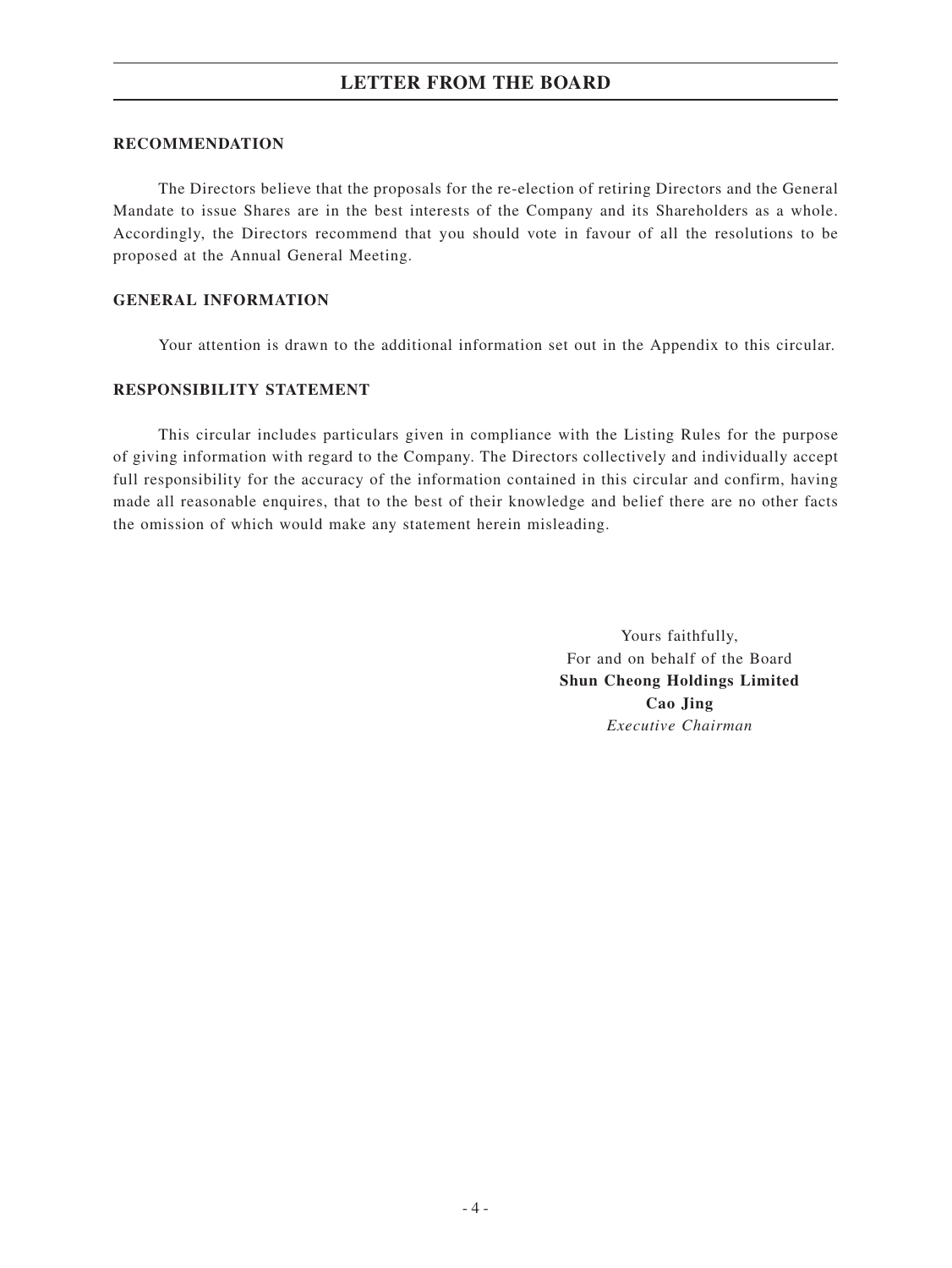#### **RECOMMENDATION**

The Directors believe that the proposals for the re-election of retiring Directors and the General Mandate to issue Shares are in the best interests of the Company and its Shareholders as a whole. Accordingly, the Directors recommend that you should vote in favour of all the resolutions to be proposed at the Annual General Meeting.

#### **GENERAL INFORMATION**

Your attention is drawn to the additional information set out in the Appendix to this circular.

### **RESPONSIBILITY STATEMENT**

This circular includes particulars given in compliance with the Listing Rules for the purpose of giving information with regard to the Company. The Directors collectively and individually accept full responsibility for the accuracy of the information contained in this circular and confirm, having made all reasonable enquires, that to the best of their knowledge and belief there are no other facts the omission of which would make any statement herein misleading.

> Yours faithfully, For and on behalf of the Board **Shun Cheong Holdings Limited Cao Jing** *Executive Chairman*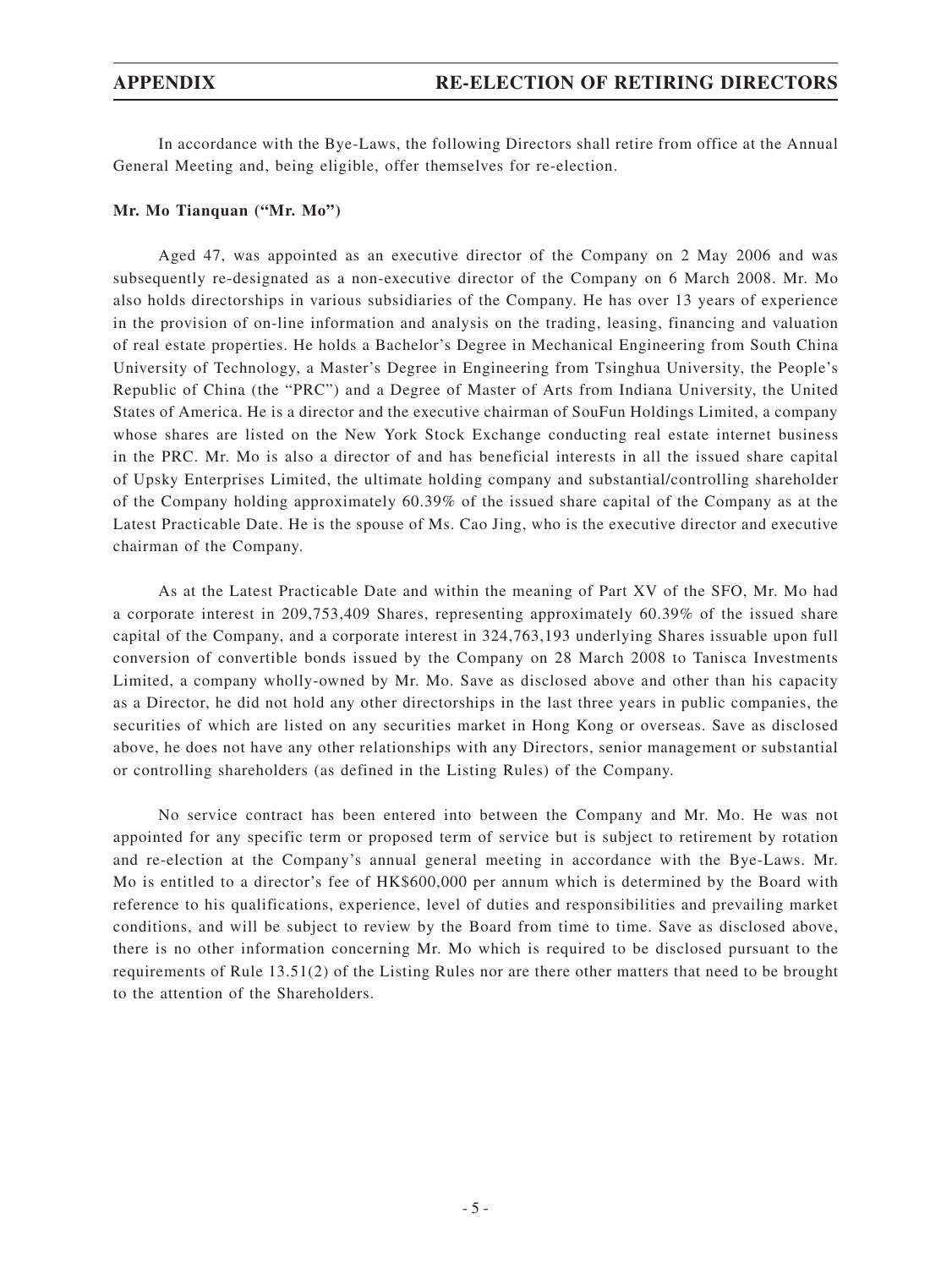In accordance with the Bye-Laws, the following Directors shall retire from office at the Annual General Meeting and, being eligible, offer themselves for re-election.

#### **Mr. Mo Tianquan ("Mr. Mo")**

Aged 47, was appointed as an executive director of the Company on 2 May 2006 and was subsequently re-designated as a non-executive director of the Company on 6 March 2008. Mr. Mo also holds directorships in various subsidiaries of the Company. He has over 13 years of experience in the provision of on-line information and analysis on the trading, leasing, financing and valuation of real estate properties. He holds a Bachelor's Degree in Mechanical Engineering from South China University of Technology, a Master's Degree in Engineering from Tsinghua University, the People's Republic of China (the "PRC") and a Degree of Master of Arts from Indiana University, the United States of America. He is a director and the executive chairman of SouFun Holdings Limited, a company whose shares are listed on the New York Stock Exchange conducting real estate internet business in the PRC. Mr. Mo is also a director of and has beneficial interests in all the issued share capital of Upsky Enterprises Limited, the ultimate holding company and substantial/controlling shareholder of the Company holding approximately 60.39% of the issued share capital of the Company as at the Latest Practicable Date. He is the spouse of Ms. Cao Jing, who is the executive director and executive chairman of the Company.

As at the Latest Practicable Date and within the meaning of Part XV of the SFO, Mr. Mo had a corporate interest in 209,753,409 Shares, representing approximately 60.39% of the issued share capital of the Company, and a corporate interest in 324,763,193 underlying Shares issuable upon full conversion of convertible bonds issued by the Company on 28 March 2008 to Tanisca Investments Limited, a company wholly-owned by Mr. Mo. Save as disclosed above and other than his capacity as a Director, he did not hold any other directorships in the last three years in public companies, the securities of which are listed on any securities market in Hong Kong or overseas. Save as disclosed above, he does not have any other relationships with any Directors, senior management or substantial or controlling shareholders (as defined in the Listing Rules) of the Company.

No service contract has been entered into between the Company and Mr. Mo. He was not appointed for any specific term or proposed term of service but is subject to retirement by rotation and re-election at the Company's annual general meeting in accordance with the Bye-Laws. Mr. Mo is entitled to a director's fee of HK\$600,000 per annum which is determined by the Board with reference to his qualifications, experience, level of duties and responsibilities and prevailing market conditions, and will be subject to review by the Board from time to time. Save as disclosed above, there is no other information concerning Mr. Mo which is required to be disclosed pursuant to the requirements of Rule 13.51(2) of the Listing Rules nor are there other matters that need to be brought to the attention of the Shareholders.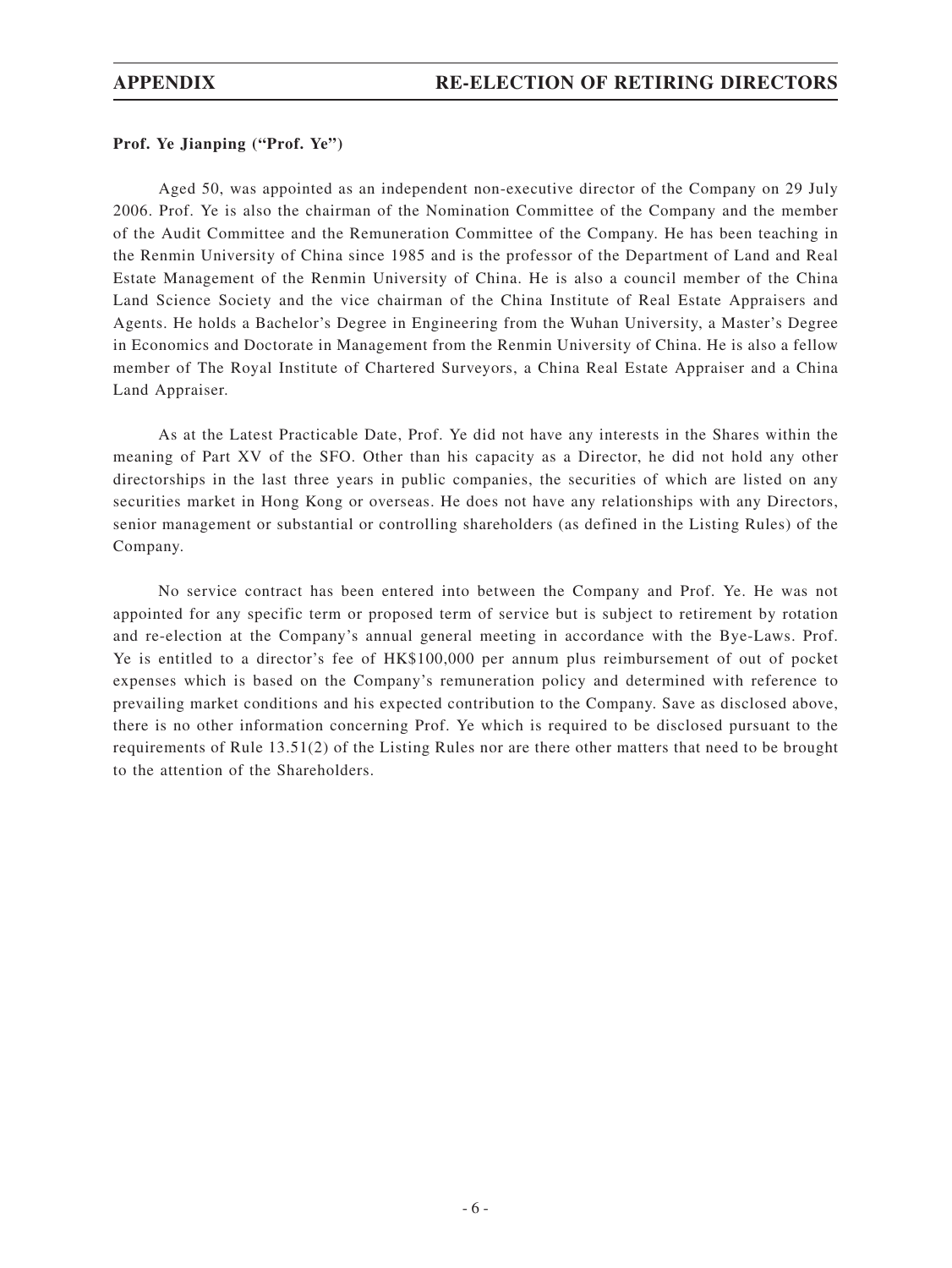#### **Prof. Ye Jianping ("Prof. Ye")**

Aged 50, was appointed as an independent non-executive director of the Company on 29 July 2006. Prof. Ye is also the chairman of the Nomination Committee of the Company and the member of the Audit Committee and the Remuneration Committee of the Company. He has been teaching in the Renmin University of China since 1985 and is the professor of the Department of Land and Real Estate Management of the Renmin University of China. He is also a council member of the China Land Science Society and the vice chairman of the China Institute of Real Estate Appraisers and Agents. He holds a Bachelor's Degree in Engineering from the Wuhan University, a Master's Degree in Economics and Doctorate in Management from the Renmin University of China. He is also a fellow member of The Royal Institute of Chartered Surveyors, a China Real Estate Appraiser and a China Land Appraiser.

As at the Latest Practicable Date, Prof. Ye did not have any interests in the Shares within the meaning of Part XV of the SFO. Other than his capacity as a Director, he did not hold any other directorships in the last three years in public companies, the securities of which are listed on any securities market in Hong Kong or overseas. He does not have any relationships with any Directors, senior management or substantial or controlling shareholders (as defined in the Listing Rules) of the Company.

No service contract has been entered into between the Company and Prof. Ye. He was not appointed for any specific term or proposed term of service but is subject to retirement by rotation and re-election at the Company's annual general meeting in accordance with the Bye-Laws. Prof. Ye is entitled to a director's fee of HK\$100,000 per annum plus reimbursement of out of pocket expenses which is based on the Company's remuneration policy and determined with reference to prevailing market conditions and his expected contribution to the Company. Save as disclosed above, there is no other information concerning Prof. Ye which is required to be disclosed pursuant to the requirements of Rule 13.51(2) of the Listing Rules nor are there other matters that need to be brought to the attention of the Shareholders.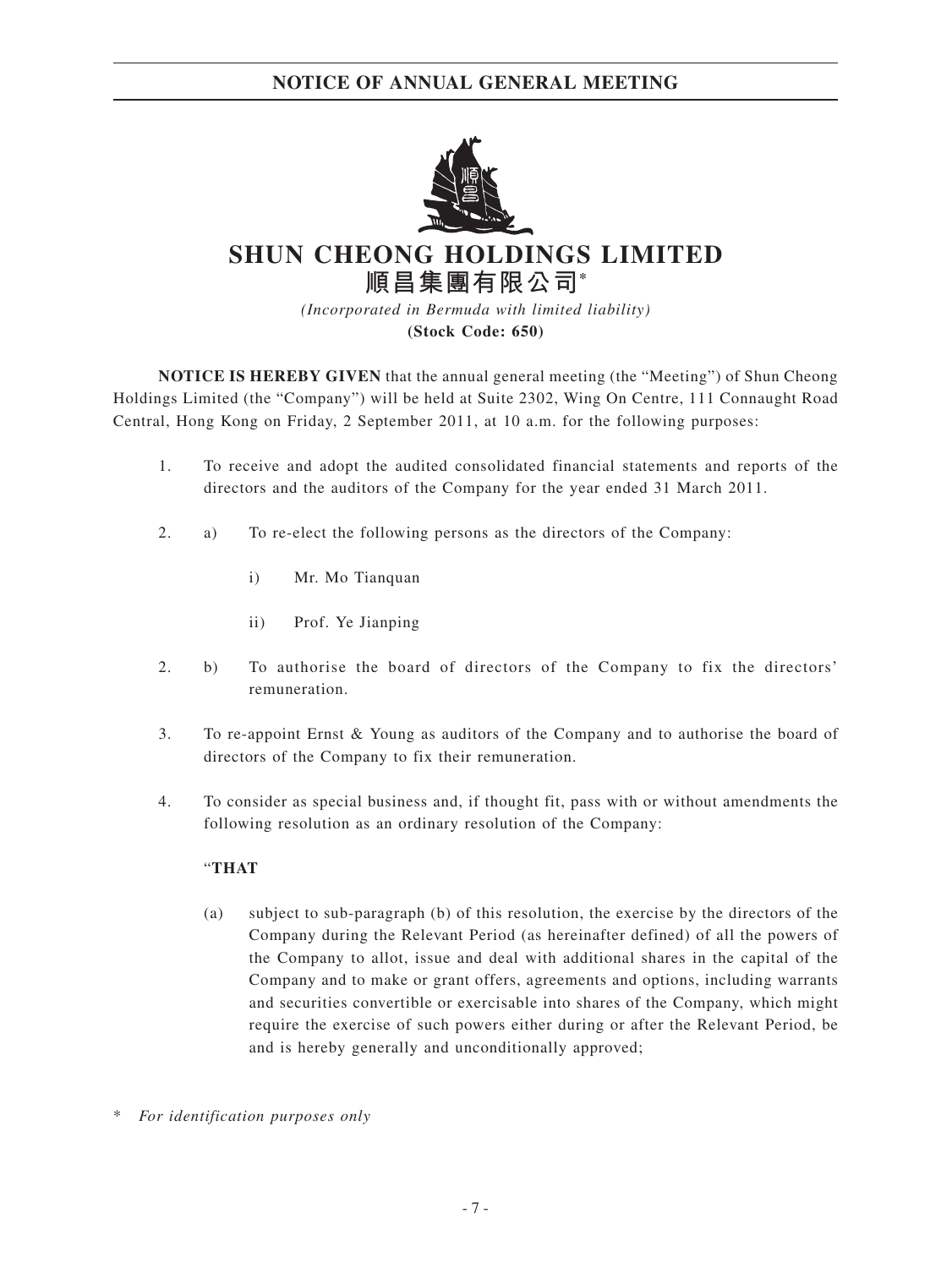## **NOTICE OF ANNUAL GENERAL MEETING**



# **SHUN CHEONG HOLDINGS LIMITED 順昌集團有限公司\***

*(Incorporated in Bermuda with limited liability)* **(Stock Code: 650)**

**NOTICE IS HEREBY GIVEN** that the annual general meeting (the "Meeting") of Shun Cheong Holdings Limited (the "Company") will be held at Suite 2302, Wing On Centre, 111 Connaught Road Central, Hong Kong on Friday, 2 September 2011, at 10 a.m. for the following purposes:

- 1. To receive and adopt the audited consolidated financial statements and reports of the directors and the auditors of the Company for the year ended 31 March 2011.
- 2. a) To re-elect the following persons as the directors of the Company:
	- i) Mr. Mo Tianquan
	- ii) Prof. Ye Jianping
- 2. b) To authorise the board of directors of the Company to fix the directors' remuneration.
- 3. To re-appoint Ernst & Young as auditors of the Company and to authorise the board of directors of the Company to fix their remuneration.
- 4. To consider as special business and, if thought fit, pass with or without amendments the following resolution as an ordinary resolution of the Company:

### "**THAT**

- (a) subject to sub-paragraph (b) of this resolution, the exercise by the directors of the Company during the Relevant Period (as hereinafter defined) of all the powers of the Company to allot, issue and deal with additional shares in the capital of the Company and to make or grant offers, agreements and options, including warrants and securities convertible or exercisable into shares of the Company, which might require the exercise of such powers either during or after the Relevant Period, be and is hereby generally and unconditionally approved;
- $For$  *identification purposes only*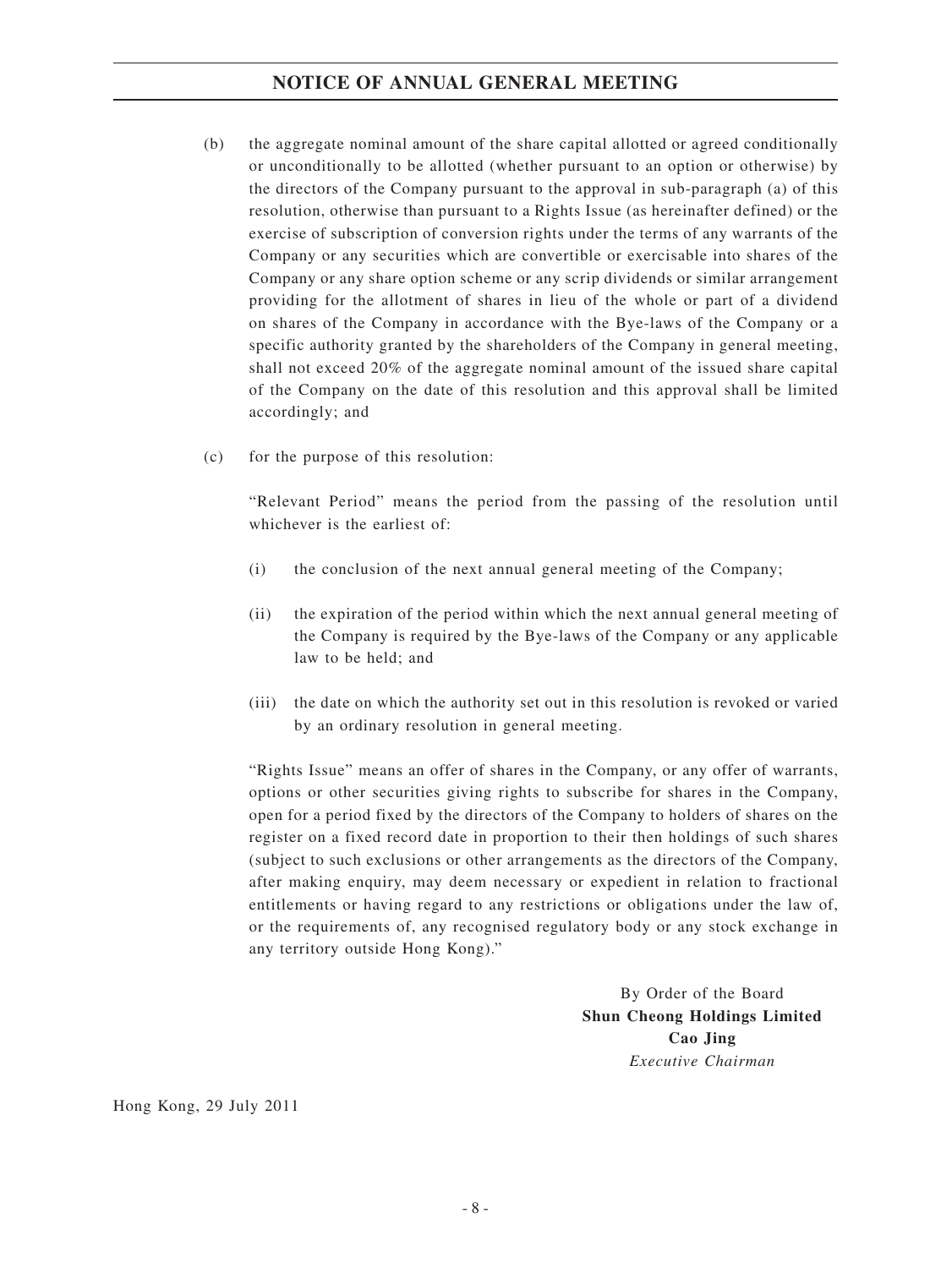## **NOTICE OF ANNUAL GENERAL MEETING**

- (b) the aggregate nominal amount of the share capital allotted or agreed conditionally or unconditionally to be allotted (whether pursuant to an option or otherwise) by the directors of the Company pursuant to the approval in sub-paragraph (a) of this resolution, otherwise than pursuant to a Rights Issue (as hereinafter defined) or the exercise of subscription of conversion rights under the terms of any warrants of the Company or any securities which are convertible or exercisable into shares of the Company or any share option scheme or any scrip dividends or similar arrangement providing for the allotment of shares in lieu of the whole or part of a dividend on shares of the Company in accordance with the Bye-laws of the Company or a specific authority granted by the shareholders of the Company in general meeting, shall not exceed 20% of the aggregate nominal amount of the issued share capital of the Company on the date of this resolution and this approval shall be limited accordingly; and
- (c) for the purpose of this resolution:

"Relevant Period" means the period from the passing of the resolution until whichever is the earliest of:

- (i) the conclusion of the next annual general meeting of the Company;
- (ii) the expiration of the period within which the next annual general meeting of the Company is required by the Bye-laws of the Company or any applicable law to be held; and
- (iii) the date on which the authority set out in this resolution is revoked or varied by an ordinary resolution in general meeting.

"Rights Issue" means an offer of shares in the Company, or any offer of warrants, options or other securities giving rights to subscribe for shares in the Company, open for a period fixed by the directors of the Company to holders of shares on the register on a fixed record date in proportion to their then holdings of such shares (subject to such exclusions or other arrangements as the directors of the Company, after making enquiry, may deem necessary or expedient in relation to fractional entitlements or having regard to any restrictions or obligations under the law of, or the requirements of, any recognised regulatory body or any stock exchange in any territory outside Hong Kong)."

> By Order of the Board **Shun Cheong Holdings Limited Cao Jing** *Executive Chairman*

Hong Kong, 29 July 2011